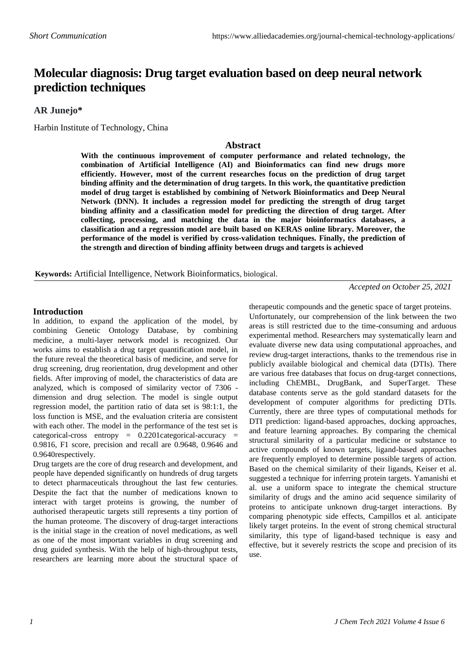# **Molecular diagnosis: Drug target evaluation based on deep neural network prediction techniques**

## **AR Junejo\***

Harbin Institute of Technology, China

#### **Abstract**

**With the continuous improvement of computer performance and related technology, the combination of Artificial Intelligence (AI) and Bioinformatics can find new drugs more efficiently. However, most of the current researches focus on the prediction of drug target binding affinity and the determination of drug targets. In this work, the quantitative prediction model of drug target is established by combining of Network Bioinformatics and Deep Neural Network (DNN). It includes a regression model for predicting the strength of drug target binding affinity and a classification model for predicting the direction of drug target. After collecting, processing, and matching the data in the major bioinformatics databases, a classification and a regression model are built based on KERAS online library. Moreover, the performance of the model is verified by cross-validation techniques. Finally, the prediction of the strength and direction of binding affinity between drugs and targets is achieved**

**Keywords:** Artificial Intelligence, Network Bioinformatics, biological.

*Accepted on October 25, 2021*

### **Introduction**

In addition, to expand the application of the model, by combining Genetic Ontology Database, by combining medicine, a multi-layer network model is recognized. Our works aims to establish a drug target quantification model, in the future reveal the theoretical basis of medicine, and serve for drug screening, drug reorientation, drug development and other fields. After improving of model, the characteristics of data are analyzed, which is composed of similarity vector of 7306 dimension and drug selection. The model is single output regression model, the partition ratio of data set is 98:1:1, the loss function is MSE, and the evaluation criteria are consistent with each other. The model in the performance of the test set is categorical-cross entropy =  $0.2201$ categorical-accuracy = 0.9816, F1 score, precision and recall are 0.9648, 0.9646 and 0.9640respectively.

Drug targets are the core of drug research and development, and people have depended significantly on hundreds of drug targets to detect pharmaceuticals throughout the last few centuries. Despite the fact that the number of medications known to interact with target proteins is growing, the number of authorised therapeutic targets still represents a tiny portion of the human proteome. The discovery of drug-target interactions is the initial stage in the creation of novel medications, as well as one of the most important variables in drug screening and drug guided synthesis. With the help of high-throughput tests, researchers are learning more about the structural space of therapeutic compounds and the genetic space of target proteins. Unfortunately, our comprehension of the link between the two areas is still restricted due to the time-consuming and arduous experimental method. Researchers may systematically learn and evaluate diverse new data using computational approaches, and review drug-target interactions, thanks to the tremendous rise in publicly available biological and chemical data (DTIs). There are various free databases that focus on drug-target connections, including ChEMBL, DrugBank, and SuperTarget. These database contents serve as the gold standard datasets for the development of computer algorithms for predicting DTIs. Currently, there are three types of computational methods for DTI prediction: ligand-based approaches, docking approaches, and feature learning approaches. By comparing the chemical structural similarity of a particular medicine or substance to active compounds of known targets, ligand-based approaches are frequently employed to determine possible targets of action. Based on the chemical similarity of their ligands, Keiser et al. suggested a technique for inferring protein targets. Yamanishi et al. use a uniform space to integrate the chemical structure similarity of drugs and the amino acid sequence similarity of proteins to anticipate unknown drug-target interactions. By comparing phenotypic side effects, Campillos et al. anticipate likely target proteins. In the event of strong chemical structural similarity, this type of ligand-based technique is easy and effective, but it severely restricts the scope and precision of its use.